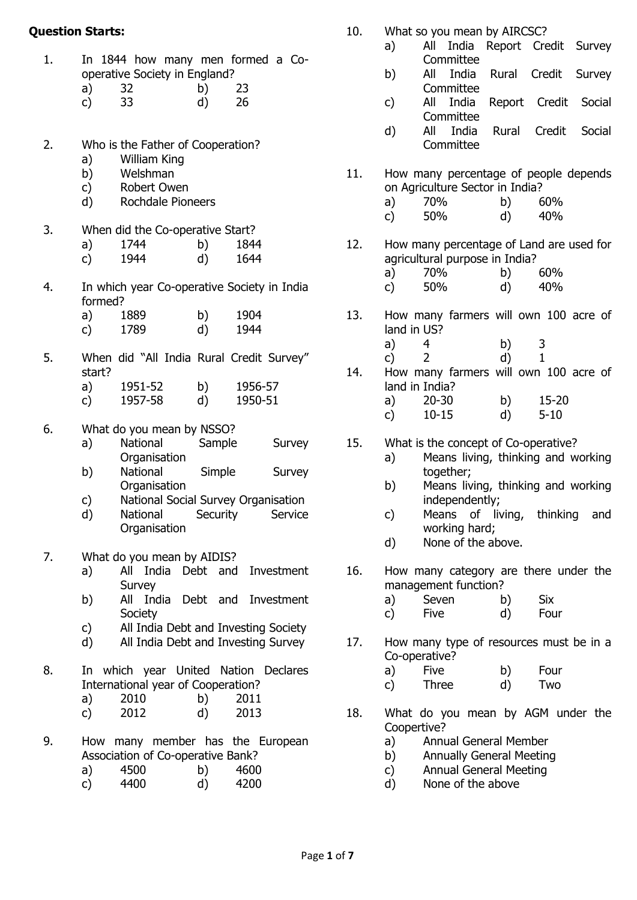## **Question Starts:**

1. In 1844 how many men formed a Cooperative Society in England?

| a) | 32 | b) | 23 |
|----|----|----|----|
| C) | 33 | d) | 26 |

- 2. Who is the Father of Cooperation?
	- a) William King
	- b) Welshman
	- c) Robert Owen
	- d) Rochdale Pioneers
- 3. When did the Co-operative Start?

| a) | 1744 | b) | 1844 |
|----|------|----|------|
| C) | 1944 | d) | 1644 |

4. In which year Co-operative Society in India formed?

| a)           | 1889 | b) | 1904 |
|--------------|------|----|------|
| $\mathsf{C}$ | 1789 | d) | 1944 |

- 5. When did "All India Rural Credit Survey" start? a) 1951-52 b) 1956-57
	- c) 1957-58 d) 1950-51
- 6. What do you mean by NSSO?
	- a) National Sample Survey **Organisation**
	- b) National Simple Survey **Organisation**
	- c) National Social Survey Organisation
	- d) National Security Service **Organisation**
- 7. What do you mean by AIDIS?
	- a) All India Debt and Investment Survey
	- b) All India Debt and Investment **Society**
	- c) All India Debt and Investing Society
	- d) All India Debt and Investing Survey

8. In which year United Nation Declares International year of Cooperation? a) 2010 b) 2011

- c) 2012 d) 2013
- 9. How many member has the European Association of Co-operative Bank? a) 4500 b) 4600
	- c) 4400 d) 4200
- 10. What so you mean by AIRCSC?
	- a) All India Report Credit Survey **Committee**
	- b) All India Rural Credit Survey **Committee**
	- c) All India Report Credit Social **Committee** 
		- d) All India Rural Credit Social **Committee**
- 11. How many percentage of people depends on Agriculture Sector in India?
	- a) 70% b) 60%
	- c) 50% d) 40%
- 12. How many percentage of Land are used for agricultural purpose in India? a) 70% b) 60%
	- c) 50% d) 40%
- 13. How many farmers will own 100 acre of land in US?
	- a) 4 b) 3 c) 2 d) 1
- 14. How many farmers will own 100 acre of land in India?
	- a) 20-30 b) 15-20
	- c) 10-15 d) 5-10
- 15. What is the concept of Co-operative?
	- a) Means living, thinking and working together;
	- b) Means living, thinking and working independently;
	- c) Means of living, thinking and working hard;
	- d) None of the above.
- 16. How many category are there under the management function?
	- a) Seven b) Six
	- c) Five d) Four
- 17. How many type of resources must be in a Co-operative?
	- a) Five b) Four
	- c) Three d) Two
- 18. What do you mean by AGM under the Coopertive?
	- a) Annual General Member
	- b) Annually General Meeting
	- c) Annual General Meeting
	- d) None of the above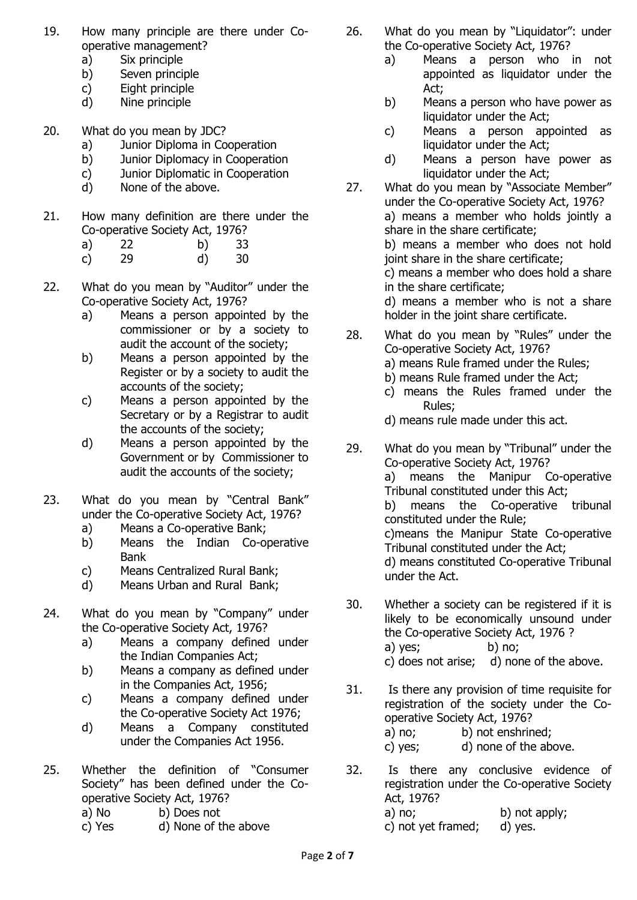- 19. How many principle are there under Cooperative management?
	- a) Six principle
	- b) Seven principle
	- c) Eight principle
	- d) Nine principle
- 20. What do you mean by JDC?
	- a) Junior Diploma in Cooperation
	- b) Junior Diplomacy in Cooperation
	- c) Junior Diplomatic in Cooperation
	- d) None of the above.
- 21. How many definition are there under the Co-operative Society Act, 1976?

| a) | 22 | þ) | 33 |
|----|----|----|----|
|    |    |    |    |

- c) 29 d) 30
- 22. What do you mean by "Auditor" under the Co-operative Society Act, 1976?
	- a) Means a person appointed by the commissioner or by a society to audit the account of the society;
	- b) Means a person appointed by the Register or by a society to audit the accounts of the society;
	- c) Means a person appointed by the Secretary or by a Registrar to audit the accounts of the society;
	- d) Means a person appointed by the Government or by Commissioner to audit the accounts of the society;
- 23. What do you mean by "Central Bank" under the Co-operative Society Act, 1976?
	- a) Means a Co-operative Bank;
	- b) Means the Indian Co-operative Bank
	- c) Means Centralized Rural Bank;
	- d) Means Urban and Rural Bank;
- 24. What do you mean by "Company" under the Co-operative Society Act, 1976?
	- a) Means a company defined under the Indian Companies Act;
	- b) Means a company as defined under in the Companies Act, 1956;
	- c) Means a company defined under the Co-operative Society Act 1976;
	- d) Means a Company constituted under the Companies Act 1956.
- 25. Whether the definition of "Consumer Society" has been defined under the Cooperative Society Act, 1976?
	- a) No b) Does not
	- c) Yes d) None of the above
- 26. What do you mean by "Liquidator": under the Co-operative Society Act, 1976?
	- a) Means a person who in not appointed as liquidator under the Act;
	- b) Means a person who have power as liquidator under the Act;
	- c) Means a person appointed as liquidator under the Act;
	- d) Means a person have power as liquidator under the Act:
- 27. What do you mean by "Associate Member" under the Co-operative Society Act, 1976? a) means a member who holds jointly a share in the share certificate; b) means a member who does not hold joint share in the share certificate; c) means a member who does hold a share in the share certificate; d) means a member who is not a share holder in the joint share certificate.
- 28. What do you mean by "Rules" under the Co-operative Society Act, 1976?
	- a) means Rule framed under the Rules;
	- b) means Rule framed under the Act;
	- c) means the Rules framed under the Rules;
	- d) means rule made under this act.
- 29. What do you mean by "Tribunal" under the Co-operative Society Act, 1976? a) means the Manipur Co-operative Tribunal constituted under this Act; b) means the Co-operative tribunal constituted under the Rule; c)means the Manipur State Co-operative Tribunal constituted under the Act; d) means constituted Co-operative Tribunal under the Act.
- 30. Whether a society can be registered if it is likely to be economically unsound under the Co-operative Society Act, 1976 ? a) yes; b) no; c) does not arise; d) none of the above.
- 31. Is there any provision of time requisite for registration of the society under the Cooperative Society Act, 1976? a) no; b) not enshrined;
	- c) yes; d) none of the above.
- 32. Is there any conclusive evidence of registration under the Co-operative Society Act, 1976? a) no; b) not apply; c) not yet framed; d) yes.
- Page **2** of **7**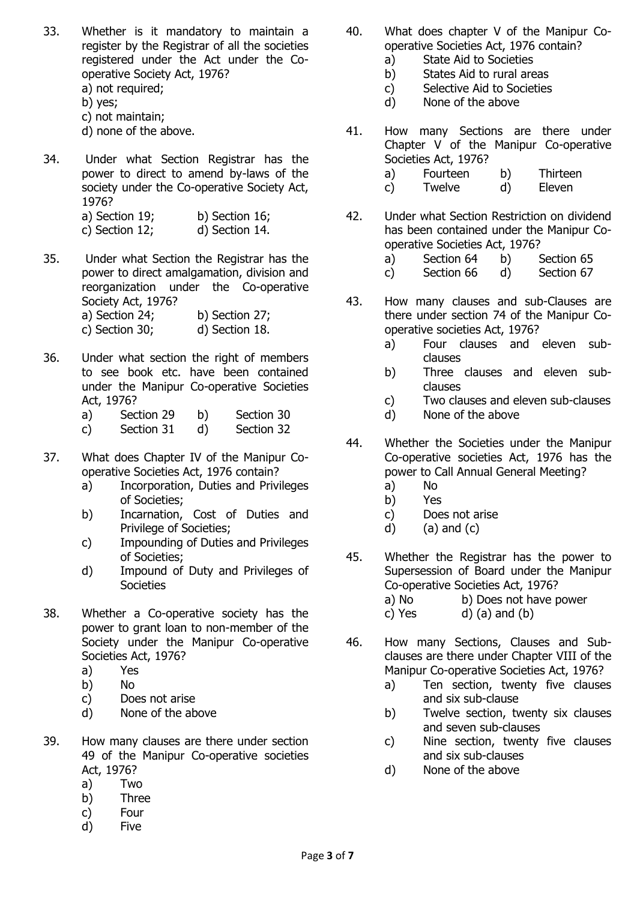- 33. Whether is it mandatory to maintain a register by the Registrar of all the societies registered under the Act under the Cooperative Society Act, 1976? a) not required;
	-
	- b) yes;
	- c) not maintain;
	- d) none of the above.
- 34. Under what Section Registrar has the power to direct to amend by-laws of the society under the Co-operative Society Act, 1976? a) Section 19; b) Section 16; c) Section 12; d) Section 14.
- 35. Under what Section the Registrar has the power to direct amalgamation, division and reorganization under the Co-operative Society Act, 1976? a) Section 24; b) Section 27; c) Section 30; d) Section 18.
- 36. Under what section the right of members to see book etc. have been contained under the Manipur Co-operative Societies Act, 1976?
	- a) Section 29 b) Section 30
	- c) Section 31 d) Section 32
- 37. What does Chapter IV of the Manipur Cooperative Societies Act, 1976 contain?
	- a) Incorporation, Duties and Privileges of Societies;
	- b) Incarnation, Cost of Duties and Privilege of Societies;
	- c) Impounding of Duties and Privileges of Societies;
	- d) Impound of Duty and Privileges of **Societies**
- 38. Whether a Co-operative society has the power to grant loan to non-member of the Society under the Manipur Co-operative Societies Act, 1976?
	- a) Yes
	- b) No
	- c) Does not arise
	- d) None of the above
- 39. How many clauses are there under section 49 of the Manipur Co-operative societies Act, 1976?
	- a) Two
	- b) Three
	- c) Four
	- d) Five
- 40. What does chapter V of the Manipur Cooperative Societies Act, 1976 contain?
	- a) State Aid to Societies
	- b) States Aid to rural areas
	- c) Selective Aid to Societies
	- d) None of the above
- 41. How many Sections are there under Chapter V of the Manipur Co-operative Societies Act, 1976?
	- a) Fourteen b) Thirteen
	- c) Twelve d) Eleven
- 42. Under what Section Restriction on dividend has been contained under the Manipur Cooperative Societies Act, 1976?
	- a) Section 64 b) Section 65
	- c) Section 66 d) Section 67
- 43. How many clauses and sub-Clauses are there under section 74 of the Manipur Cooperative societies Act, 1976?
	- a) Four clauses and eleven subclauses
	- b) Three clauses and eleven subclauses
	- c) Two clauses and eleven sub-clauses
	- d) None of the above
- 44. Whether the Societies under the Manipur Co-operative societies Act, 1976 has the power to Call Annual General Meeting?
	- a) No
	- b) Yes
	- c) Does not arise
	- d)  $(a)$  and  $(c)$
- 45. Whether the Registrar has the power to Supersession of Board under the Manipur Co-operative Societies Act, 1976?
	- a) No b) Does not have power
	- c) Yes d)  $(a)$  and  $(b)$
- 46. How many Sections, Clauses and Subclauses are there under Chapter VIII of the Manipur Co-operative Societies Act, 1976?
	- a) Ten section, twenty five clauses and six sub-clause
	- b) Twelve section, twenty six clauses and seven sub-clauses
	- c) Nine section, twenty five clauses and six sub-clauses
	- d) None of the above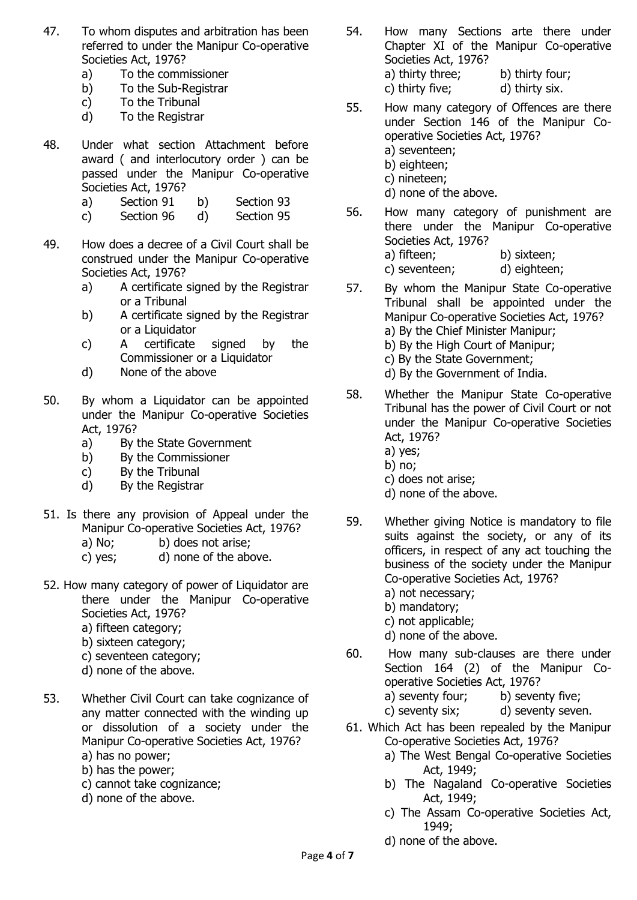- 47. To whom disputes and arbitration has been referred to under the Manipur Co-operative Societies Act, 1976?
	- a) To the commissioner
	- b) To the Sub-Registrar
	- c) To the Tribunal
	- d) To the Registrar
- 48. Under what section Attachment before award ( and interlocutory order ) can be passed under the Manipur Co-operative Societies Act, 1976?
	- a) Section 91 b) Section 93
	- c) Section 96 d) Section 95
- 49. How does a decree of a Civil Court shall be construed under the Manipur Co-operative Societies Act, 1976?
	- a) A certificate signed by the Registrar or a Tribunal
	- b) A certificate signed by the Registrar or a Liquidator
	- c) A certificate signed by the Commissioner or a Liquidator
	- d) None of the above
- 50. By whom a Liquidator can be appointed under the Manipur Co-operative Societies Act, 1976?
	- a) By the State Government
	- b) By the Commissioner
	- c) By the Tribunal
	- d) By the Registrar
- 51. Is there any provision of Appeal under the Manipur Co-operative Societies Act, 1976?
	- a) No; b) does not arise;
	- c) yes; d) none of the above.
- 52. How many category of power of Liquidator are there under the Manipur Co-operative Societies Act, 1976?
	- a) fifteen category;
	- b) sixteen category;
	- c) seventeen category;
	- d) none of the above.
- 53. Whether Civil Court can take cognizance of any matter connected with the winding up or dissolution of a society under the Manipur Co-operative Societies Act, 1976?
	- a) has no power;
	- b) has the power;
	- c) cannot take cognizance;
	- d) none of the above.
- 54. How many Sections arte there under Chapter XI of the Manipur Co-operative Societies Act, 1976? a) thirty three; b) thirty four; c) thirty five; d) thirty six.
- 55. How many category of Offences are there under Section 146 of the Manipur Cooperative Societies Act, 1976? a) seventeen; b) eighteen; c) nineteen; d) none of the above.
- 56. How many category of punishment are there under the Manipur Co-operative Societies Act, 1976? a) fifteen: b) sixteen: c) seventeen; d) eighteen;
- 57. By whom the Manipur State Co-operative Tribunal shall be appointed under the Manipur Co-operative Societies Act, 1976? a) By the Chief Minister Manipur; b) By the High Court of Manipur; c) By the State Government;
	- d) By the Government of India.
- 58. Whether the Manipur State Co-operative Tribunal has the power of Civil Court or not under the Manipur Co-operative Societies Act, 1976?
	- a) yes;
	- b) no;
	- c) does not arise;
	- d) none of the above.
- 59. Whether giving Notice is mandatory to file suits against the society, or any of its officers, in respect of any act touching the business of the society under the Manipur Co-operative Societies Act, 1976? a) not necessary;
	-
	- b) mandatory;
	- c) not applicable;
	- d) none of the above.
- 60. How many sub-clauses are there under Section 164 (2) of the Manipur Cooperative Societies Act, 1976?
	- a) seventy four; b) seventy five;
	- c) seventy six; d) seventy seven.
- 61. Which Act has been repealed by the Manipur Co-operative Societies Act, 1976?
	- a) The West Bengal Co-operative Societies Act, 1949;
	- b) The Nagaland Co-operative Societies Act, 1949;
	- c) The Assam Co-operative Societies Act, 1949;
	- d) none of the above.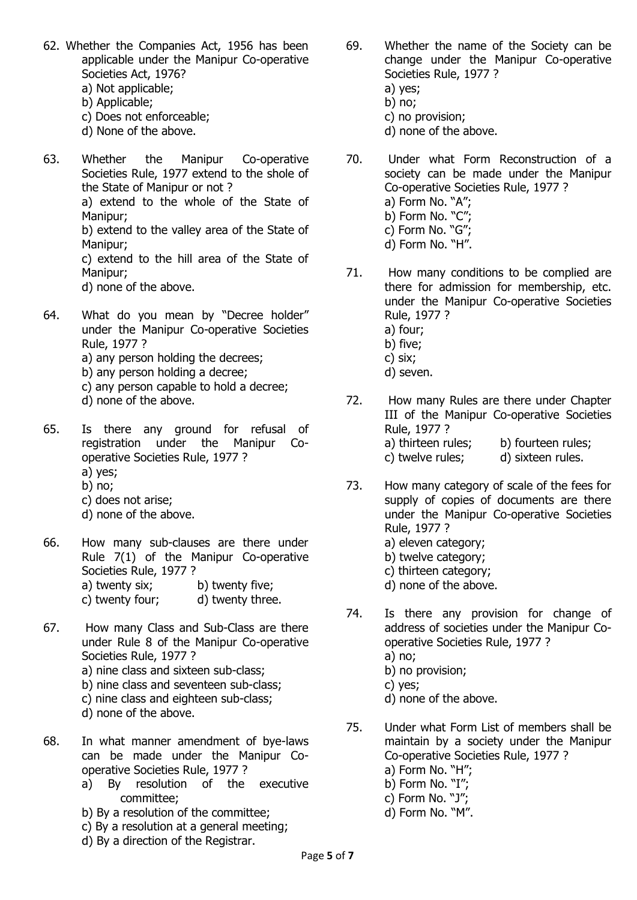- 62. Whether the Companies Act, 1956 has been applicable under the Manipur Co-operative Societies Act, 1976?
	- a) Not applicable;
	- b) Applicable;
	- c) Does not enforceable;
	- d) None of the above.
- 63. Whether the Manipur Co-operative Societies Rule, 1977 extend to the shole of the State of Manipur or not ? a) extend to the whole of the State of Manipur; b) extend to the valley area of the State of Manipur; c) extend to the hill area of the State of

Manipur;

- d) none of the above.
- 64. What do you mean by "Decree holder" under the Manipur Co-operative Societies Rule, 1977 ?
	- a) any person holding the decrees;
	- b) any person holding a decree;
	- c) any person capable to hold a decree;
	- d) none of the above.
- 65. Is there any ground for refusal of registration under the Manipur Cooperative Societies Rule, 1977 ?
	- a) yes;
	- b) no;
	- c) does not arise;
	- d) none of the above.
- 66. How many sub-clauses are there under Rule 7(1) of the Manipur Co-operative Societies Rule, 1977 ? a) twenty six; b) twenty five;
	- c) twenty four; d) twenty three.
- 67. How many Class and Sub-Class are there under Rule 8 of the Manipur Co-operative Societies Rule, 1977 ?
	- a) nine class and sixteen sub-class;
	- b) nine class and seventeen sub-class;
	- c) nine class and eighteen sub-class;
	- d) none of the above.
- 68. In what manner amendment of bye-laws can be made under the Manipur Cooperative Societies Rule, 1977 ?
	- a) By resolution of the executive committee;
	- b) By a resolution of the committee;
	- c) By a resolution at a general meeting;
	- d) By a direction of the Registrar.
- 69. Whether the name of the Society can be change under the Manipur Co-operative Societies Rule, 1977 ?
	- a) yes;
	- b) no;
	- c) no provision;
	- d) none of the above.
- 70. Under what Form Reconstruction of a society can be made under the Manipur Co-operative Societies Rule, 1977 ? a) Form No. "A"; b) Form No. "C"; c) Form No. "G";
	- d) Form No. "H".
- 71. How many conditions to be complied are there for admission for membership, etc. under the Manipur Co-operative Societies Rule, 1977 ? a) four; b) five; c) six;
	- d) seven.
- 72. How many Rules are there under Chapter III of the Manipur Co-operative Societies Rule, 1977 ? a) thirteen rules; b) fourteen rules; c) twelve rules; d) sixteen rules.
- 73. How many category of scale of the fees for supply of copies of documents are there under the Manipur Co-operative Societies Rule, 1977 ?
	- a) eleven category;
	- b) twelve category;
	- c) thirteen category;
	- d) none of the above.
- 74. Is there any provision for change of address of societies under the Manipur Cooperative Societies Rule, 1977 ?
	- a) no;
	- b) no provision;
	- c) yes;
	- d) none of the above.
- 75. Under what Form List of members shall be maintain by a society under the Manipur Co-operative Societies Rule, 1977 ?
	- a) Form No. "H";
	- b) Form No. "I";
	- c) Form No. "J";
	- d) Form No. "M".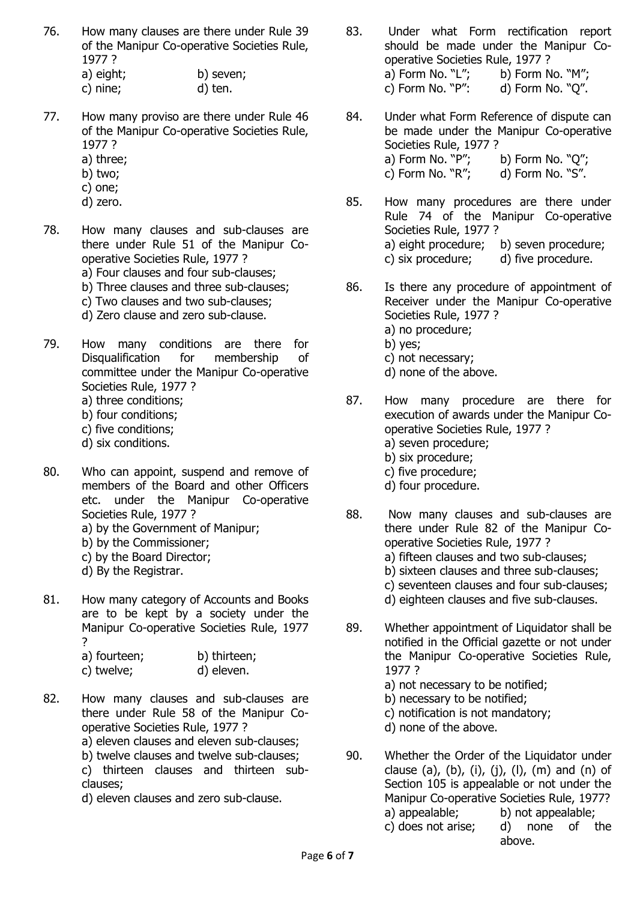- 76. How many clauses are there under Rule 39 of the Manipur Co-operative Societies Rule, 1977 ? a) eight; b) seven;
	- c) nine; d) ten.
- 77. How many proviso are there under Rule 46 of the Manipur Co-operative Societies Rule, 1977 ?
	- a) three;
	- b) two;
	- c) one;
	- d) zero.
- 78. How many clauses and sub-clauses are there under Rule 51 of the Manipur Cooperative Societies Rule, 1977 ?
	- a) Four clauses and four sub-clauses;
	- b) Three clauses and three sub-clauses;
	- c) Two clauses and two sub-clauses;
	- d) Zero clause and zero sub-clause.
- 79. How many conditions are there for Disqualification for membership of committee under the Manipur Co-operative Societies Rule, 1977 ?
	- a) three conditions;
	- b) four conditions;
	- c) five conditions;
	- d) six conditions.
- 80. Who can appoint, suspend and remove of members of the Board and other Officers etc. under the Manipur Co-operative Societies Rule, 1977 ?
	- a) by the Government of Manipur;
	- b) by the Commissioner;
	- c) by the Board Director;
	- d) By the Registrar.
- 81. How many category of Accounts and Books are to be kept by a society under the Manipur Co-operative Societies Rule, 1977 ? a) fourteen; b) thirteen; c) twelve; d) eleven.
- 82. How many clauses and sub-clauses are there under Rule 58 of the Manipur Cooperative Societies Rule, 1977 ?

a) eleven clauses and eleven sub-clauses;

- b) twelve clauses and twelve sub-clauses;
- c) thirteen clauses and thirteen subclauses;
- d) eleven clauses and zero sub-clause.
- 83. Under what Form rectification report should be made under the Manipur Cooperative Societies Rule, 1977 ? a) Form No.  $"L"$ ; b) Form No.  $"M"$ ; c) Form No. "P": d) Form No. "Q".
- 84. Under what Form Reference of dispute can be made under the Manipur Co-operative Societies Rule, 1977 ? a) Form No.  $P''$ ; b) Form No.  $P''$ ; c) Form No. "R"; d) Form No. "S".
- 85. How many procedures are there under Rule 74 of the Manipur Co-operative Societies Rule, 1977 ? a) eight procedure; b) seven procedure; c) six procedure; d) five procedure.
- 86. Is there any procedure of appointment of Receiver under the Manipur Co-operative Societies Rule, 1977 ? a) no procedure; b) yes; c) not necessary;
	- d) none of the above.
- 87. How many procedure are there for execution of awards under the Manipur Cooperative Societies Rule, 1977 ? a) seven procedure;
	- b) six procedure;
	- c) five procedure;
	- d) four procedure.
- 88. Now many clauses and sub-clauses are there under Rule 82 of the Manipur Cooperative Societies Rule, 1977 ? a) fifteen clauses and two sub-clauses; b) sixteen clauses and three sub-clauses; c) seventeen clauses and four sub-clauses; d) eighteen clauses and five sub-clauses.
- 89. Whether appointment of Liquidator shall be notified in the Official gazette or not under the Manipur Co-operative Societies Rule, 1977 ?
	- a) not necessary to be notified;
	- b) necessary to be notified;
	- c) notification is not mandatory;
	- d) none of the above.
- 90. Whether the Order of the Liquidator under clause (a), (b), (i), (j), (l), (m) and (n) of Section 105 is appealable or not under the Manipur Co-operative Societies Rule, 1977? a) appealable; b) not appealable; c) does not arise; d) none of the